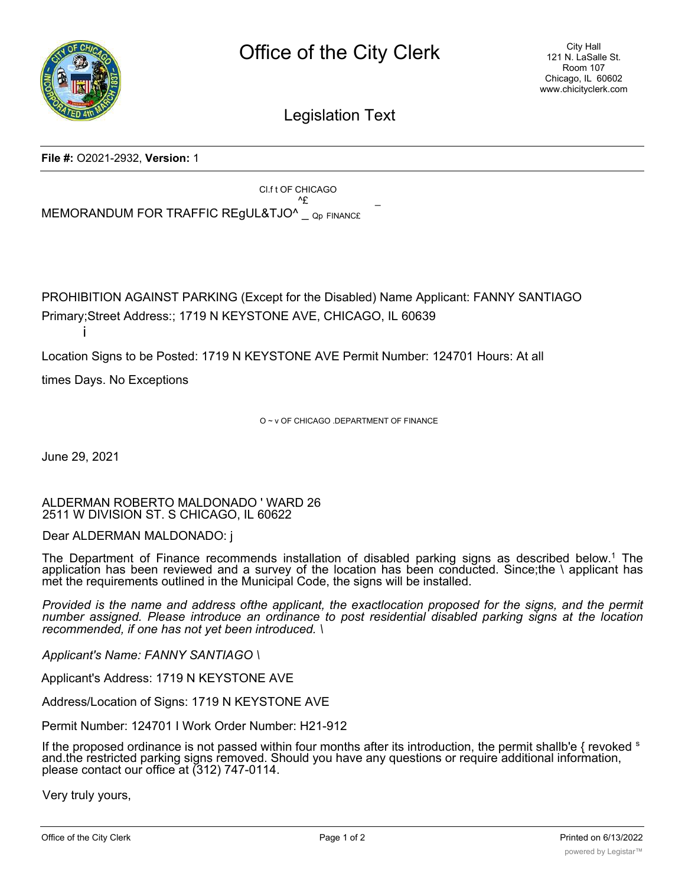

Legislation Text

## **File #:** O2021-2932, **Version:** 1

Cl.f t OF CHICAGO  $^{\wedge}E$ MEMORANDUM FOR TRAFFIC REGUL&TJO^ \_ Qp FINANC£

PROHIBITION AGAINST PARKING (Except for the Disabled) Name Applicant: FANNY SANTIAGO Primary;Street Address:; 1719 N KEYSTONE AVE, CHICAGO, IL 60639

Location Signs to be Posted: 1719 N KEYSTONE AVE Permit Number: 124701 Hours: At all

times Days. No Exceptions

O ~ v OF CHICAGO .DEPARTMENT OF FINANCE

June 29, 2021

i

ALDERMAN ROBERTO MALDONADO ' WARD 26 2511 W DIVISION ST. S CHICAGO, IL 60622

Dear ALDERMAN MALDONADO: j

The Department of Finance recommends installation of disabled parking signs as described below.<sup>1</sup> The application has been reviewed and a survey of the location has been conducted. Since;the \ applicant has met the requirements outlined in the Municipal Code, the signs will be installed.

Provided is the name and address ofthe applicant, the exactlocation proposed for the signs, and the permit *number assigned. Please introduce an ordinance to post residential disabled parking signs at the location recommended, if one has not yet been introduced. \*

*Applicant's Name: FANNY SANTIAGO \*

Applicant's Address: 1719 N KEYSTONE AVE

Address/Location of Signs: 1719 N KEYSTONE AVE

Permit Number: 124701 I Work Order Number: H21-912

If the proposed ordinance is not passed within four months after its introduction, the permit shallb'e  $\{$  revoked  $\{$ and.the restricted parking signs removed. Should you have any questions or require additional information, please contact our office at (312) 747-0114.

Very truly yours,